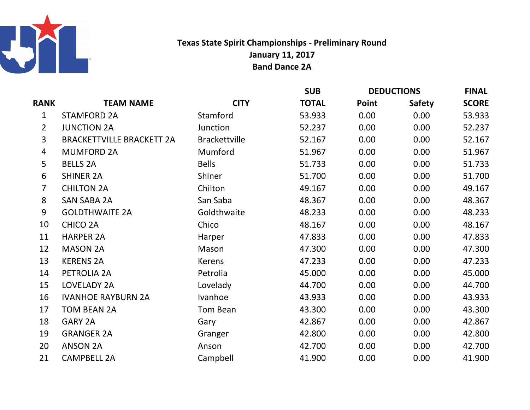

## Texas State Spirit Championships - Preliminary RoundJanuary 11, 2017Band Dance 2A

|                |                                  |                      | <b>SUB</b>   | <b>DEDUCTIONS</b> |               | <b>FINAL</b> |
|----------------|----------------------------------|----------------------|--------------|-------------------|---------------|--------------|
| <b>RANK</b>    | <b>TEAM NAME</b>                 | <b>CITY</b>          | <b>TOTAL</b> | Point             | <b>Safety</b> | <b>SCORE</b> |
| $\mathbf 1$    | <b>STAMFORD 2A</b>               | Stamford             | 53.933       | 0.00              | 0.00          | 53.933       |
| $\overline{2}$ | <b>JUNCTION 2A</b>               | Junction             | 52.237       | 0.00              | 0.00          | 52.237       |
| $\overline{3}$ | <b>BRACKETTVILLE BRACKETT 2A</b> | <b>Brackettville</b> | 52.167       | 0.00              | 0.00          | 52.167       |
| 4              | <b>MUMFORD 2A</b>                | Mumford              | 51.967       | 0.00              | 0.00          | 51.967       |
| 5              | <b>BELLS 2A</b>                  | <b>Bells</b>         | 51.733       | 0.00              | 0.00          | 51.733       |
| 6              | <b>SHINER 2A</b>                 | Shiner               | 51.700       | 0.00              | 0.00          | 51.700       |
| $\overline{7}$ | <b>CHILTON 2A</b>                | Chilton              | 49.167       | 0.00              | 0.00          | 49.167       |
| 8              | <b>SAN SABA 2A</b>               | San Saba             | 48.367       | 0.00              | 0.00          | 48.367       |
| 9              | <b>GOLDTHWAITE 2A</b>            | Goldthwaite          | 48.233       | 0.00              | 0.00          | 48.233       |
| 10             | <b>CHICO 2A</b>                  | Chico                | 48.167       | 0.00              | 0.00          | 48.167       |
| 11             | <b>HARPER 2A</b>                 | Harper               | 47.833       | 0.00              | 0.00          | 47.833       |
| 12             | <b>MASON 2A</b>                  | Mason                | 47.300       | 0.00              | 0.00          | 47.300       |
| 13             | <b>KERENS 2A</b>                 | <b>Kerens</b>        | 47.233       | 0.00              | 0.00          | 47.233       |
| 14             | PETROLIA 2A                      | Petrolia             | 45.000       | 0.00              | 0.00          | 45.000       |
| 15             | LOVELADY 2A                      | Lovelady             | 44.700       | 0.00              | 0.00          | 44.700       |
| 16             | <b>IVANHOE RAYBURN 2A</b>        | Ivanhoe              | 43.933       | 0.00              | 0.00          | 43.933       |
| 17             | <b>TOM BEAN 2A</b>               | Tom Bean             | 43.300       | 0.00              | 0.00          | 43.300       |
| 18             | <b>GARY 2A</b>                   | Gary                 | 42.867       | 0.00              | 0.00          | 42.867       |
| 19             | <b>GRANGER 2A</b>                | Granger              | 42.800       | 0.00              | 0.00          | 42.800       |
| 20             | <b>ANSON 2A</b>                  | Anson                | 42.700       | 0.00              | 0.00          | 42.700       |
| 21             | <b>CAMPBELL 2A</b>               | Campbell             | 41.900       | 0.00              | 0.00          | 41.900       |
|                |                                  |                      |              |                   |               |              |